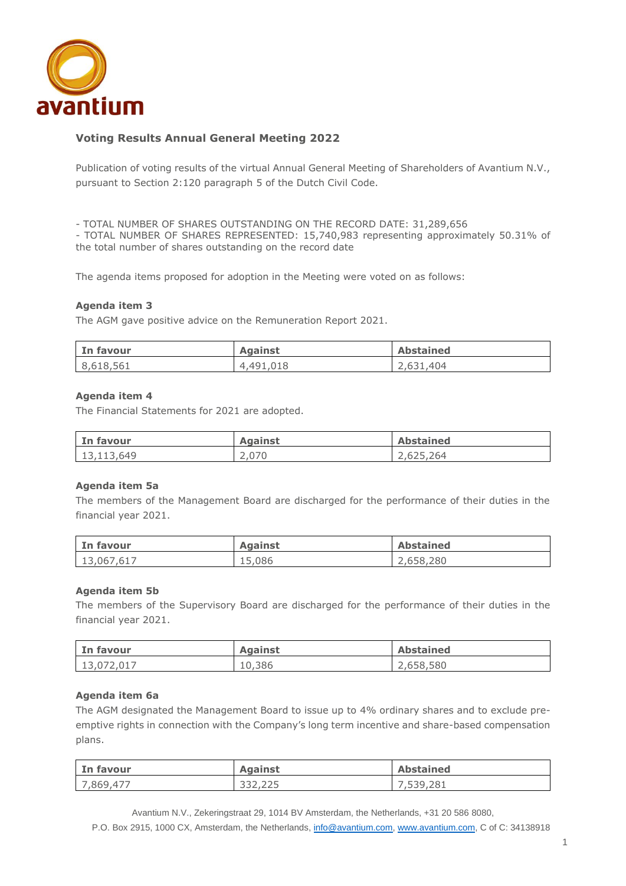

# **Voting Results Annual General Meeting 2022**

Publication of voting results of the virtual Annual General Meeting of Shareholders of Avantium N.V., pursuant to Section 2:120 paragraph 5 of the Dutch Civil Code.

- TOTAL NUMBER OF SHARES OUTSTANDING ON THE RECORD DATE: 31,289,656

- TOTAL NUMBER OF SHARES REPRESENTED: 15,740,983 representing approximately 50.31% of the total number of shares outstanding on the record date

The agenda items proposed for adoption in the Meeting were voted on as follows:

#### **Agenda item 3**

The AGM gave positive advice on the Remuneration Report 2021.

| In favour | <b>Against</b> | <b>Abstained</b> |
|-----------|----------------|------------------|
| 8,618,561 | 4,491,018      | 2,631,404        |

#### **Agenda item 4**

The Financial Statements for 2021 are adopted.

| In favour  | <b>Against</b> | <b>Abstained</b> |
|------------|----------------|------------------|
| 13,113,649 | 2,070          | 2,625,264        |

#### **Agenda item 5a**

The members of the Management Board are discharged for the performance of their duties in the financial year 2021.

| In favour  | <b>Against</b> | <b>Abstained</b> |
|------------|----------------|------------------|
| 13,067,617 | 15,086         | 2,658,280        |

#### **Agenda item 5b**

The members of the Supervisory Board are discharged for the performance of their duties in the financial year 2021.

| In favour  | <b>Against</b> | <b>Abstained</b> |
|------------|----------------|------------------|
| 13,072,017 | 10,386         | 2,658,580        |

#### **Agenda item 6a**

The AGM designated the Management Board to issue up to 4% ordinary shares and to exclude preemptive rights in connection with the Company's long term incentive and share-based compensation plans.

| In favour | <b>Against</b> | <b>Abstained</b> |
|-----------|----------------|------------------|
| 7,869,477 | 332,225        | 7,539,281        |

Avantium N.V., Zekeringstraat 29, 1014 BV Amsterdam, the Netherlands, +31 20 586 8080,

P.O. Box 2915, 1000 CX, Amsterdam, the Netherlands, [info@avantium.com,](mailto:info@avantium.com) [www.avantium.com,](http://www.avantium.com/) C of C: 34138918